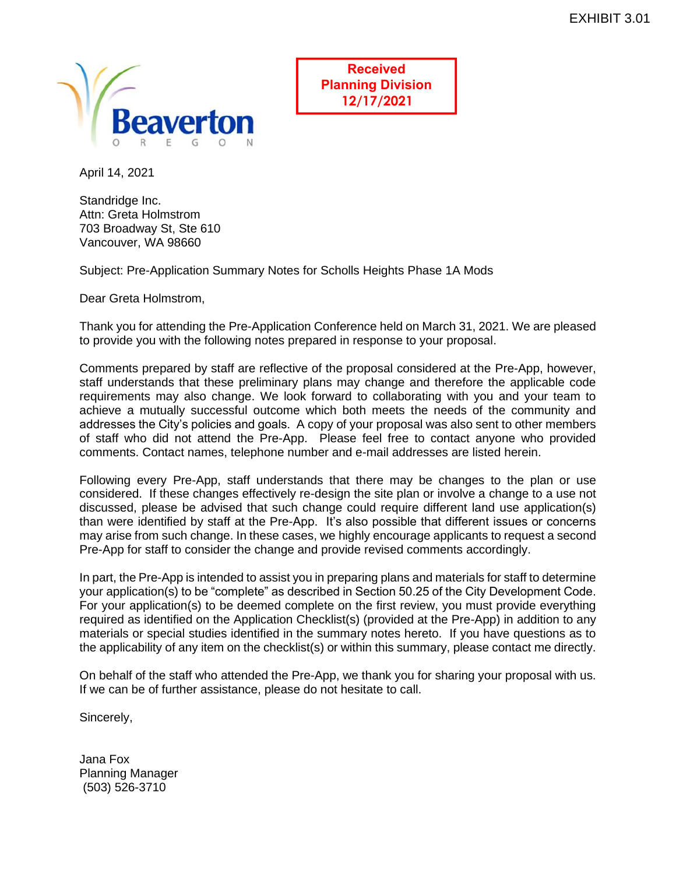

**Received Planning Division 12/17/2021**

April 14, 2021

Standridge Inc. Attn: Greta Holmstrom 703 Broadway St, Ste 610 Vancouver, WA 98660

Subject: Pre-Application Summary Notes for Scholls Heights Phase 1A Mods

Dear Greta Holmstrom,

Thank you for attending the Pre-Application Conference held on March 31, 2021. We are pleased to provide you with the following notes prepared in response to your proposal.

Comments prepared by staff are reflective of the proposal considered at the Pre-App, however, staff understands that these preliminary plans may change and therefore the applicable code requirements may also change. We look forward to collaborating with you and your team to achieve a mutually successful outcome which both meets the needs of the community and addresses the City's policies and goals. A copy of your proposal was also sent to other members of staff who did not attend the Pre-App. Please feel free to contact anyone who provided comments. Contact names, telephone number and e-mail addresses are listed herein.

Following every Pre-App, staff understands that there may be changes to the plan or use considered. If these changes effectively re-design the site plan or involve a change to a use not discussed, please be advised that such change could require different land use application(s) than were identified by staff at the Pre-App. It's also possible that different issues or concerns may arise from such change. In these cases, we highly encourage applicants to request a second Pre-App for staff to consider the change and provide revised comments accordingly.

In part, the Pre-App is intended to assist you in preparing plans and materials for staff to determine your application(s) to be "complete" as described in Section 50.25 of the City Development Code. For your application(s) to be deemed complete on the first review, you must provide everything required as identified on the Application Checklist(s) (provided at the Pre-App) in addition to any materials or special studies identified in the summary notes hereto. If you have questions as to the applicability of any item on the checklist(s) or within this summary, please contact me directly.

On behalf of the staff who attended the Pre-App, we thank you for sharing your proposal with us. If we can be of further assistance, please do not hesitate to call.

Sincerely,

Jana Fox Planning Manager (503) 526-3710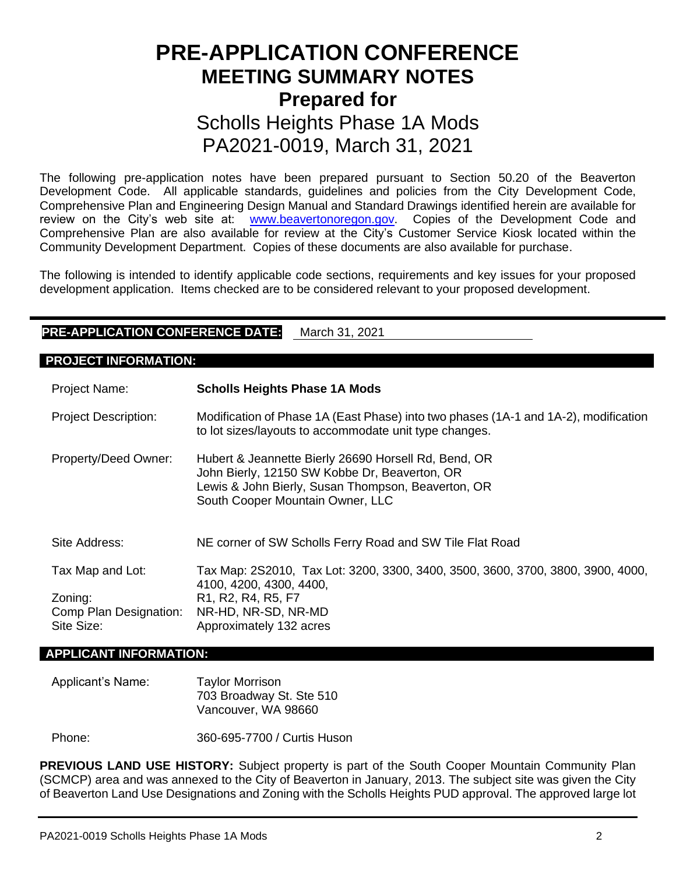# **PRE-APPLICATION CONFERENCE MEETING SUMMARY NOTES Prepared for**  Scholls Heights Phase 1A Mods PA2021-0019, March 31, 2021

The following pre-application notes have been prepared pursuant to Section 50.20 of the Beaverton Development Code. All applicable standards, guidelines and policies from the City Development Code, Comprehensive Plan and Engineering Design Manual and Standard Drawings identified herein are available for review on the City's web site at: [www.beavertonoregon.gov.](http://www.beavertonoregon.gov/) Copies of the Development Code and Comprehensive Plan are also available for review at the City's Customer Service Kiosk located within the Community Development Department. Copies of these documents are also available for purchase.

The following is intended to identify applicable code sections, requirements and key issues for your proposed development application. Items checked are to be considered relevant to your proposed development.

# **PRE-APPLICATION CONFERENCE DATE:** March 31, 2021

# **PROJECT INFORMATION:**

| <b>Project Name:</b>                            | <b>Scholls Heights Phase 1A Mods</b>                                                                                                                                                            |
|-------------------------------------------------|-------------------------------------------------------------------------------------------------------------------------------------------------------------------------------------------------|
| <b>Project Description:</b>                     | Modification of Phase 1A (East Phase) into two phases (1A-1 and 1A-2), modification<br>to lot sizes/layouts to accommodate unit type changes.                                                   |
| Property/Deed Owner:                            | Hubert & Jeannette Bierly 26690 Horsell Rd, Bend, OR<br>John Bierly, 12150 SW Kobbe Dr, Beaverton, OR<br>Lewis & John Bierly, Susan Thompson, Beaverton, OR<br>South Cooper Mountain Owner, LLC |
| Site Address:                                   | NE corner of SW Scholls Ferry Road and SW Tile Flat Road                                                                                                                                        |
| Tax Map and Lot:                                | Tax Map: 2S2010, Tax Lot: 3200, 3300, 3400, 3500, 3600, 3700, 3800, 3900, 4000,<br>4100, 4200, 4300, 4400,                                                                                      |
| Zoning:<br>Comp Plan Designation:<br>Site Size: | R <sub>1</sub> , R <sub>2</sub> , R <sub>4</sub> , R <sub>5</sub> , F <sub>7</sub><br>NR-HD, NR-SD, NR-MD<br>Approximately 132 acres                                                            |

#### **APPLICANT INFORMATION:**

# Applicant's Name: Taylor Morrison 703 Broadway St. Ste 510 Vancouver, WA 98660

Phone: 360-695-7700 / Curtis Huson

**PREVIOUS LAND USE HISTORY:** Subject property is part of the South Cooper Mountain Community Plan (SCMCP) area and was annexed to the City of Beaverton in January, 2013. The subject site was given the City of Beaverton Land Use Designations and Zoning with the Scholls Heights PUD approval. The approved large lot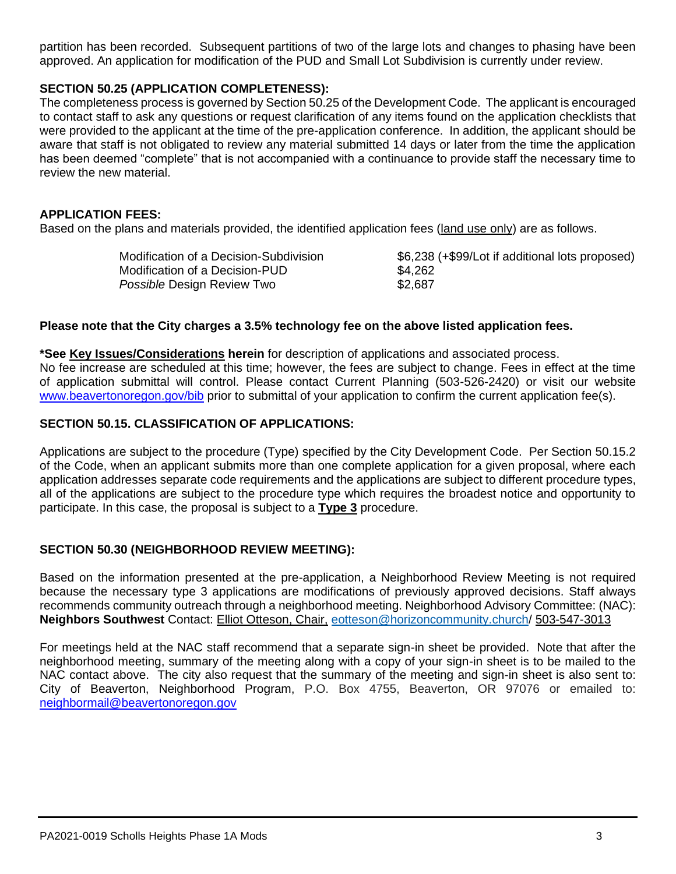partition has been recorded. Subsequent partitions of two of the large lots and changes to phasing have been approved. An application for modification of the PUD and Small Lot Subdivision is currently under review.

# **SECTION 50.25 (APPLICATION COMPLETENESS):**

The completeness process is governed by Section 50.25 of the Development Code. The applicant is encouraged to contact staff to ask any questions or request clarification of any items found on the application checklists that were provided to the applicant at the time of the pre-application conference. In addition, the applicant should be aware that staff is not obligated to review any material submitted 14 days or later from the time the application has been deemed "complete" that is not accompanied with a continuance to provide staff the necessary time to review the new material.

# **APPLICATION FEES:**

Based on the plans and materials provided, the identified application fees (land use only) are as follows.

| Modification of a Decision-Subdivision | \$6,238 (+\$99/Lot |
|----------------------------------------|--------------------|
| Modification of a Decision-PUD         | \$4,262            |
| <i>Possible</i> Design Review Two      | \$2.687            |

## **Please note that the City charges a 3.5% technology fee on the above listed application fees.**

**\*See Key Issues/Considerations herein** for description of applications and associated process. No fee increase are scheduled at this time; however, the fees are subject to change. Fees in effect at the time of application submittal will control. Please contact Current Planning (503-526-2420) or visit our website [www.beavertonoregon.gov/bib](http://www.beavertonoregon.gov/bib) prior to submittal of your application to confirm the current application fee(s).

## **SECTION 50.15. CLASSIFICATION OF APPLICATIONS:**

Applications are subject to the procedure (Type) specified by the City Development Code. Per Section 50.15.2 of the Code, when an applicant submits more than one complete application for a given proposal, where each application addresses separate code requirements and the applications are subject to different procedure types, all of the applications are subject to the procedure type which requires the broadest notice and opportunity to participate. In this case, the proposal is subject to a **Type 3** procedure.

# **SECTION 50.30 (NEIGHBORHOOD REVIEW MEETING):**

Based on the information presented at the pre-application, a Neighborhood Review Meeting is not required because the necessary type 3 applications are modifications of previously approved decisions. Staff always recommends community outreach through a neighborhood meeting. Neighborhood Advisory Committee: (NAC): **Neighbors Southwest** Contact: Elliot Otteson, Chair, [eotteson@horizoncommunity.church/](mailto:eotteson@horizoncommunity.church) 503-547-3013

For meetings held at the NAC staff recommend that a separate sign-in sheet be provided. Note that after the neighborhood meeting, summary of the meeting along with a copy of your sign-in sheet is to be mailed to the NAC contact above. The city also request that the summary of the meeting and sign-in sheet is also sent to: City of Beaverton, Neighborhood Program, P.O. Box 4755, Beaverton, OR 97076 or emailed to: [neighbormail@beavertonoregon.gov](mailto:neighbormail@beavertonoregon.gov)

if additional lots proposed)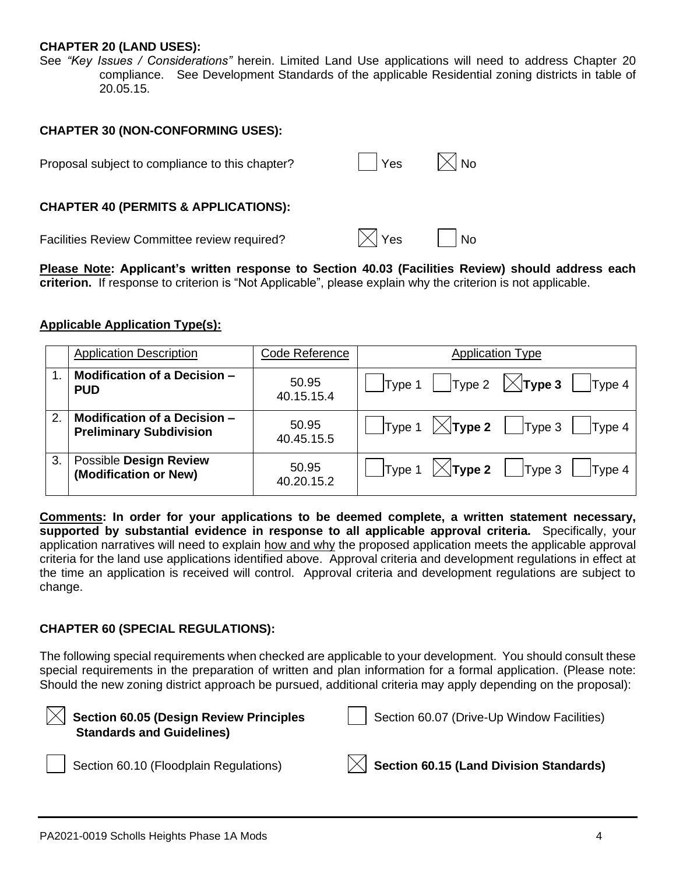## **CHAPTER 20 (LAND USES):**

See *"Key Issues / Considerations"* herein. Limited Land Use applications will need to address Chapter 20 compliance. See Development Standards of the applicable Residential zoning districts in table of 20.05.15.

#### **CHAPTER 30 (NON-CONFORMING USES):**

| Proposal subject to compliance to this chapter? | ∣ ∣Yes           | $\mathbb{I}\bar{\times}$ l No |
|-------------------------------------------------|------------------|-------------------------------|
| <b>CHAPTER 40 (PERMITS &amp; APPLICATIONS):</b> |                  |                               |
| Facilities Review Committee review required?    | $\mathbb{R}$ Yes | <b>No</b>                     |

**Please Note: Applicant's written response to Section 40.03 (Facilities Review) should address each criterion.** If response to criterion is "Not Applicable", please explain why the criterion is not applicable.

## **Applicable Application Type(s):**

|    | <b>Application Description</b> | Code Reference | <b>Application Type</b>                                                                            |
|----|--------------------------------|----------------|----------------------------------------------------------------------------------------------------|
|    | Modification of a Decision -   | 50.95          | $\vert$ Type 1 $\vert$ Type 2 $\vert\angle$ Type 3                                                 |
|    | <b>PUD</b>                     | 40.15.15.4     | Type 4                                                                                             |
| 2. | Modification of a Decision -   | 50.95          | $\mathsf{Type} \mathsf{1}$ $\mathsf{\times} \mathsf{Type} \mathsf{2}$   $\mathsf{Type} \mathsf{3}$ |
|    | <b>Preliminary Subdivision</b> | 40.45.15.5     | Type 4                                                                                             |
| 3. | Possible Design Review         | 50.95          | $ Type 1 \rangle \times  Type 2 \rangle  $ Type 3                                                  |
|    | (Modification or New)          | 40.20.15.2     | Type 4                                                                                             |

**Comments: In order for your applications to be deemed complete, a written statement necessary, supported by substantial evidence in response to all applicable approval criteria.** Specifically, your application narratives will need to explain how and why the proposed application meets the applicable approval criteria for the land use applications identified above. Approval criteria and development regulations in effect at the time an application is received will control. Approval criteria and development regulations are subject to change.

#### **CHAPTER 60 (SPECIAL REGULATIONS):**

The following special requirements when checked are applicable to your development. You should consult these special requirements in the preparation of written and plan information for a formal application. (Please note: Should the new zoning district approach be pursued, additional criteria may apply depending on the proposal):

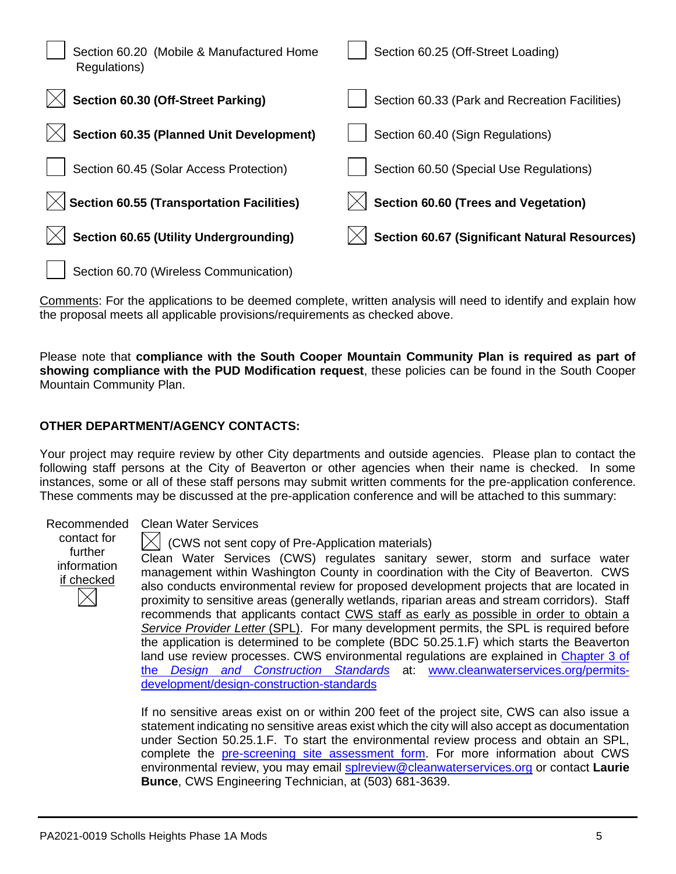| Section 60.20 (Mobile & Manufactured Home<br>Regulations) | Section 60.25 (Off-Street Loading)                   |
|-----------------------------------------------------------|------------------------------------------------------|
| Section 60.30 (Off-Street Parking)                        | Section 60.33 (Park and Recreation Facilities)       |
| <b>Section 60.35 (Planned Unit Development)</b>           | Section 60.40 (Sign Regulations)                     |
| Section 60.45 (Solar Access Protection)                   | Section 60.50 (Special Use Regulations)              |
| <b>Section 60.55 (Transportation Facilities)</b>          | Section 60.60 (Trees and Vegetation)                 |
| <b>Section 60.65 (Utility Undergrounding)</b>             | <b>Section 60.67 (Significant Natural Resources)</b> |
| Section 60.70 (Wireless Communication)                    |                                                      |

Comments: For the applications to be deemed complete, written analysis will need to identify and explain how the proposal meets all applicable provisions/requirements as checked above.

Please note that **compliance with the South Cooper Mountain Community Plan is required as part of showing compliance with the PUD Modification request**, these policies can be found in the South Cooper Mountain Community Plan.

# **OTHER DEPARTMENT/AGENCY CONTACTS:**

Your project may require review by other City departments and outside agencies. Please plan to contact the following staff persons at the City of Beaverton or other agencies when their name is checked. In some instances, some or all of these staff persons may submit written comments for the pre-application conference. These comments may be discussed at the pre-application conference and will be attached to this summary:

contact for further information if checked

#### Recommended Clean Water Services

(CWS not sent copy of Pre-Application materials)

Clean Water Services (CWS) regulates sanitary sewer, storm and surface water management within Washington County in coordination with the City of Beaverton. CWS also conducts environmental review for proposed development projects that are located in proximity to sensitive areas (generally wetlands, riparian areas and stream corridors). Staff recommends that applicants contact CWS staff as early as possible in order to obtain a *Service Provider Letter* (SPL). For many development permits, the SPL is required before the application is determined to be complete (BDC 50.25.1.F) which starts the Beaverton land use review processes. CWS environmental regulations are explained in Chapter 3 of the *[Design and Construction Standards](https://www.cleanwaterservices.org/media/1759/dc-chapter-3.pdf)* at: [www.cleanwaterservices.org/permits](http://www.cleanwaterservices.org/permits-development/design-construction-standards)[development/design-construction-standards](http://www.cleanwaterservices.org/permits-development/design-construction-standards)

If no sensitive areas exist on or within 200 feet of the project site, CWS can also issue a statement indicating no sensitive areas exist which the city will also accept as documentation under Section 50.25.1.F. To start the environmental review process and obtain an SPL, complete the [pre-screening site assessment form.](http://www.cleanwaterservices.org/documents-forms/pre-screen-form/) For more information about CWS environmental review, you may email [splreview@cleanwaterservices.org](mailto:splreview@cleanwaterservices.org) or contact **Laurie Bunce**, CWS Engineering Technician, at (503) 681-3639.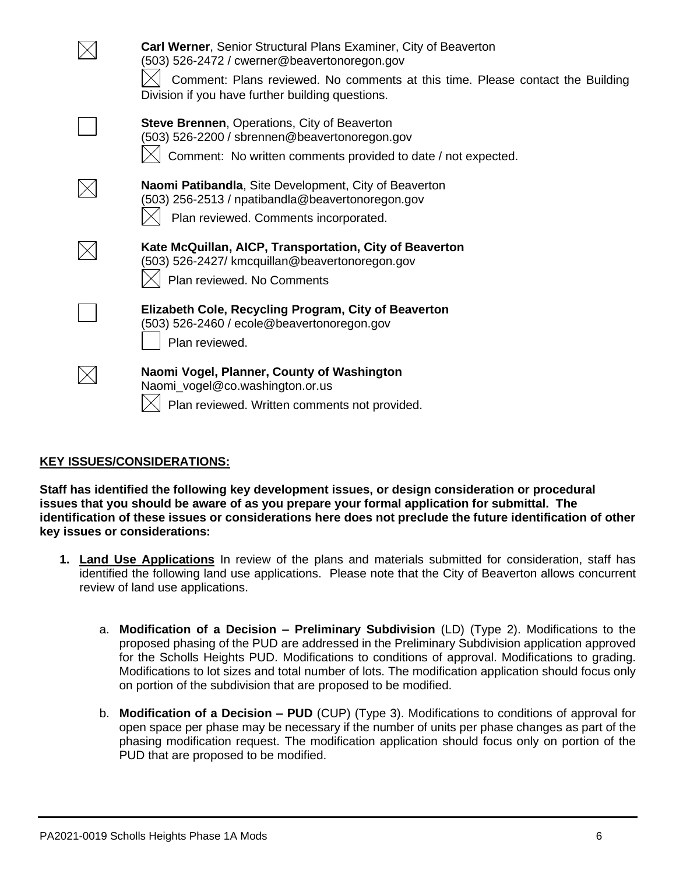| <b>Carl Werner, Senior Structural Plans Examiner, City of Beaverton</b><br>(503) 526-2472 / cwerner@beavertonoregon.gov<br>Comment: Plans reviewed. No comments at this time. Please contact the Building<br>Division if you have further building questions. |
|---------------------------------------------------------------------------------------------------------------------------------------------------------------------------------------------------------------------------------------------------------------|
| <b>Steve Brennen, Operations, City of Beaverton</b><br>(503) 526-2200 / sbrennen@beavertonoregon.gov<br>Comment: No written comments provided to date / not expected.                                                                                         |
| Naomi Patibandla, Site Development, City of Beaverton<br>(503) 256-2513 / npatibandla@beavertonoregon.gov<br>Plan reviewed. Comments incorporated.                                                                                                            |
| Kate McQuillan, AICP, Transportation, City of Beaverton<br>(503) 526-2427/ kmcquillan@beavertonoregon.gov<br>Plan reviewed. No Comments                                                                                                                       |
| Elizabeth Cole, Recycling Program, City of Beaverton<br>(503) 526-2460 / ecole@beavertonoregon.gov<br>Plan reviewed.                                                                                                                                          |
| Naomi Vogel, Planner, County of Washington<br>Naomi_vogel@co.washington.or.us<br>Plan reviewed. Written comments not provided.                                                                                                                                |

# **KEY ISSUES/CONSIDERATIONS:**

**Staff has identified the following key development issues, or design consideration or procedural issues that you should be aware of as you prepare your formal application for submittal. The identification of these issues or considerations here does not preclude the future identification of other key issues or considerations:**

- **1. Land Use Applications** In review of the plans and materials submitted for consideration, staff has identified the following land use applications. Please note that the City of Beaverton allows concurrent review of land use applications.
	- a. **Modification of a Decision – Preliminary Subdivision** (LD) (Type 2). Modifications to the proposed phasing of the PUD are addressed in the Preliminary Subdivision application approved for the Scholls Heights PUD. Modifications to conditions of approval. Modifications to grading. Modifications to lot sizes and total number of lots. The modification application should focus only on portion of the subdivision that are proposed to be modified.
	- b. **Modification of a Decision – PUD** (CUP) (Type 3). Modifications to conditions of approval for open space per phase may be necessary if the number of units per phase changes as part of the phasing modification request. The modification application should focus only on portion of the PUD that are proposed to be modified.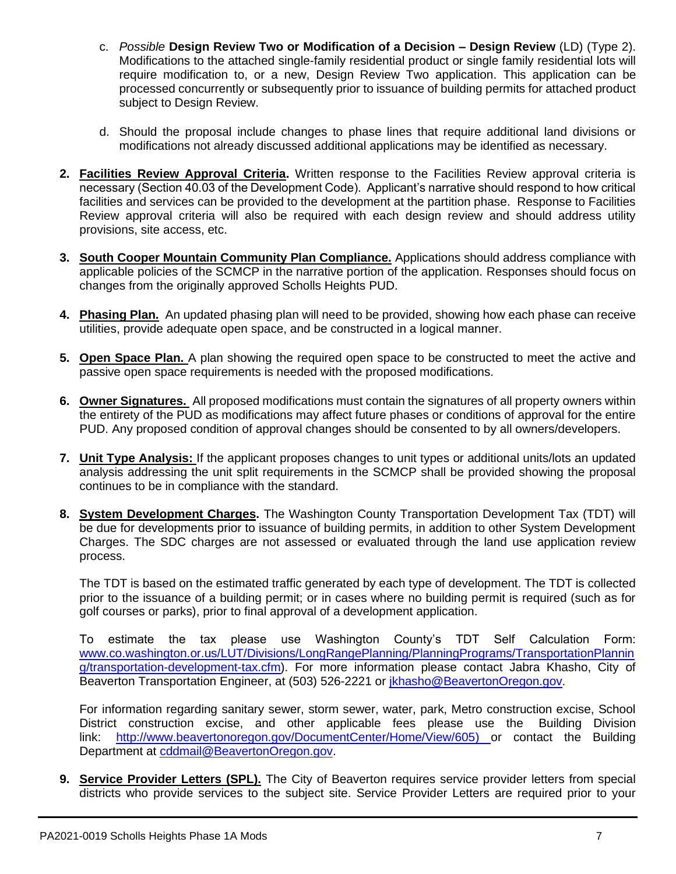- c. *Possible* **Design Review Two or Modification of a Decision – Design Review** (LD) (Type 2). Modifications to the attached single-family residential product or single family residential lots will require modification to, or a new, Design Review Two application. This application can be processed concurrently or subsequently prior to issuance of building permits for attached product subject to Design Review.
- d. Should the proposal include changes to phase lines that require additional land divisions or modifications not already discussed additional applications may be identified as necessary.
- **2. Facilities Review Approval Criteria.** Written response to the Facilities Review approval criteria is necessary (Section 40.03 of the Development Code). Applicant's narrative should respond to how critical facilities and services can be provided to the development at the partition phase. Response to Facilities Review approval criteria will also be required with each design review and should address utility provisions, site access, etc.
- **3. South Cooper Mountain Community Plan Compliance.** Applications should address compliance with applicable policies of the SCMCP in the narrative portion of the application. Responses should focus on changes from the originally approved Scholls Heights PUD.
- **4. Phasing Plan.** An updated phasing plan will need to be provided, showing how each phase can receive utilities, provide adequate open space, and be constructed in a logical manner.
- **5. Open Space Plan.** A plan showing the required open space to be constructed to meet the active and passive open space requirements is needed with the proposed modifications.
- **6. Owner Signatures.** All proposed modifications must contain the signatures of all property owners within the entirety of the PUD as modifications may affect future phases or conditions of approval for the entire PUD. Any proposed condition of approval changes should be consented to by all owners/developers.
- **7. Unit Type Analysis:** If the applicant proposes changes to unit types or additional units/lots an updated analysis addressing the unit split requirements in the SCMCP shall be provided showing the proposal continues to be in compliance with the standard.
- **8. System Development Charges.** The Washington County Transportation Development Tax (TDT) will be due for developments prior to issuance of building permits, in addition to other System Development Charges. The SDC charges are not assessed or evaluated through the land use application review process.

The TDT is based on the estimated traffic generated by each type of development. The TDT is collected prior to the issuance of a building permit; or in cases where no building permit is required (such as for golf courses or parks), prior to final approval of a development application.

To estimate the tax please use Washington County's TDT Self Calculation Form: [www.co.washington.or.us/LUT/Divisions/LongRangePlanning/PlanningPrograms/TransportationPlannin](http://www.co.washington.or.us/LUT/Divisions/LongRangePlanning/PlanningPrograms/TransportationPlanning/transportation-development-tax.cfm) [g/transportation-development-tax.cfm\)](http://www.co.washington.or.us/LUT/Divisions/LongRangePlanning/PlanningPrograms/TransportationPlanning/transportation-development-tax.cfm). For more information please contact Jabra Khasho, City of Beaverton Transportation Engineer, at (503) 526-2221 or [jkhasho@BeavertonOregon.gov.](file://///COBNAS2/CDD$/Transportation/Projects/Beaverton%20Development%20Review/PreApp%20Comments/2015%20PreApps/jkhasho@BeavertonOregon.gov)

For information regarding sanitary sewer, storm sewer, water, park, Metro construction excise, School District construction excise, and other applicable fees please use the Building Division link: [http://www.beavertonoregon.gov/DocumentCenter/Home/View/605\)](http://www.beavertonoregon.gov/DocumentCenter/Home/View/605) or contact the Building Department at [cddmail@BeavertonOregon.gov.](mailto:cddmail@BeavertonOregon.gov)

**9. Service Provider Letters (SPL).** The City of Beaverton requires service provider letters from special districts who provide services to the subject site. Service Provider Letters are required prior to your